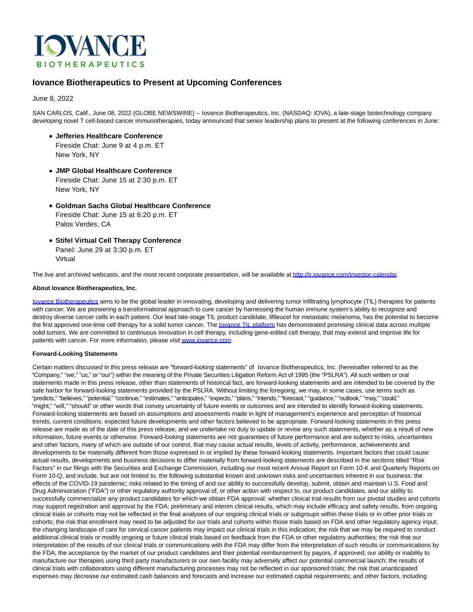

## **Iovance Biotherapeutics to Present at Upcoming Conferences**

June 8, 2022

SAN CARLOS, Calif., June 08, 2022 (GLOBE NEWSWIRE) -- Iovance Biotherapeutics, Inc. (NASDAQ: IOVA), a late-stage biotechnology company developing novel T cell-based cancer immunotherapies, today announced that senior leadership plans to present at the following conferences in June:

- **Jefferies Healthcare Conference**  Fireside Chat: June 9 at 4 p.m. ET New York, NY
- **JMP Global Healthcare Conference**  Fireside Chat: June 15 at 2:30 p.m. ET New York, NY
- **Goldman Sachs Global Healthcare Conference**  Fireside Chat: June 15 at 6:20 p.m. ET Palos Verdes, CA
- **Stifel Virtual Cell Therapy Conference** Panel: June 29 at 3:30 p.m. ET Virtual

The live and archived webcasts, and the most recent corporate presentation, will be available a[t http://ir.iovance.com/investor-calendar.](https://ir.iovance.com/investor-calendar)

## **About Iovance Biotherapeutics, Inc.**

[Iovance Biotherapeutics a](https://www.iovance.com/)ims to be the global leader in innovating, developing and delivering tumor infiltrating lymphocyte (TIL) therapies for patients with cancer. We are pioneering a transformational approach to cure cancer by harnessing the human immune system's ability to recognize and destroy diverse cancer cells in each patient. Our lead late-stage TIL product candidate, lifileucel for metastatic melanoma, has the potential to become the first approved one-time cell therapy for a solid tumor cancer. The **Joyance TIL platform** has demonstrated promising clinical data across multiple solid tumors. We are committed to continuous innovation in cell therapy, including gene-edited cell therapy, that may extend and improve life for patients with cancer. For more information, please visi[t www.iovance.com.](http://www.iovance.com/)

## **Forward-Looking Statements**

Certain matters discussed in this press release are "forward-looking statements" of Iovance Biotherapeutics, Inc. (hereinafter referred to as the "Company," "we," "us," or "our") within the meaning of the Private Securities Litigation Reform Act of 1995 (the "PSLRA"). All such written or oral statements made in this press release, other than statements of historical fact, are forward-looking statements and are intended to be covered by the safe harbor for forward-looking statements provided by the PSLRA. Without limiting the foregoing, we may, in some cases, use terms such as "predicts," "believes," "potential," "continue," "estimates," "anticipates," "expects," "plans," "intends," "forecast," "guidance," "outlook," "may," "could," "might," "will," "should" or other words that convey uncertainty of future events or outcomes and are intended to identify forward-looking statements. Forward-looking statements are based on assumptions and assessments made in light of management's experience and perception of historical trends, current conditions, expected future developments and other factors believed to be appropriate. Forward-looking statements in this press release are made as of the date of this press release, and we undertake no duty to update or revise any such statements, whether as a result of new information, future events or otherwise. Forward-looking statements are not guarantees of future performance and are subject to risks, uncertainties and other factors, many of which are outside of our control, that may cause actual results, levels of activity, performance, achievements and developments to be materially different from those expressed in or implied by these forward-looking statements. Important factors that could cause actual results, developments and business decisions to differ materially from forward-looking statements are described in the sections titled "Risk Factors" in our filings with the Securities and Exchange Commission, including our most recent Annual Report on Form 10-K and Quarterly Reports on Form 10-Q, and include, but are not limited to, the following substantial known and unknown risks and uncertainties inherent in our business: the effects of the COVID-19 pandemic; risks related to the timing of and our ability to successfully develop, submit, obtain and maintain U.S. Food and Drug Administration ("FDA") or other regulatory authority approval of, or other action with respect to, our product candidates, and our ability to successfully commercialize any product candidates for which we obtain FDA approval; whether clinical trial results from our pivotal studies and cohorts may support registration and approval by the FDA; preliminary and interim clinical results, which may include efficacy and safety results, from ongoing clinical trials or cohorts may not be reflected in the final analyses of our ongoing clinical trials or subgroups within these trials or in other prior trials or cohorts; the risk that enrollment may need to be adjusted for our trials and cohorts within those trials based on FDA and other regulatory agency input; the changing landscape of care for cervical cancer patients may impact our clinical trials in this indication; the risk that we may be required to conduct additional clinical trials or modify ongoing or future clinical trials based on feedback from the FDA or other regulatory authorities; the risk that our interpretation of the results of our clinical trials or communications with the FDA may differ from the interpretation of such results or communications by the FDA; the acceptance by the market of our product candidates and their potential reimbursement by payors, if approved; our ability or inability to manufacture our therapies using third party manufacturers or our own facility may adversely affect our potential commercial launch; the results of clinical trials with collaborators using different manufacturing processes may not be reflected in our sponsored trials; the risk that unanticipated expenses may decrease our estimated cash balances and forecasts and increase our estimated capital requirements; and other factors, including